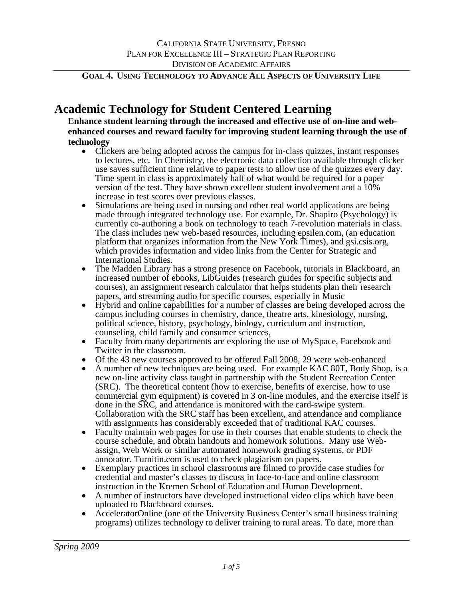# **Academic Technology for Student Centered Learning**

**Enhance student learning through the increased and effective use of on-line and webenhanced courses and reward faculty for improving student learning through the use of technology** 

- Clickers are being adopted across the campus for in-class quizzes, instant responses to lectures, etc. In Chemistry, the electronic data collection available through clicker use saves sufficient time relative to paper tests to allow use of the quizzes every day. Time spent in class is approximately half of what would be required for a paper version of the test. They have shown excellent student involvement and a 10% increase in test scores over previous classes.
- Simulations are being used in nursing and other real world applications are being made through integrated technology use. For example, Dr. Shapiro (Psychology) is currently co-authoring a book on technology to teach 7-revolution materials in class. The class includes new web-based resources, including epsilen.com, (an education platform that organizes information from the New York Times), and gsi.csis.org, which provides information and video links from the Center for Strategic and International Studies.
- The Madden Library has a strong presence on Facebook, tutorials in Blackboard, an increased number of ebooks, LibGuides (research guides for specific subjects and courses), an assignment research calculator that helps students plan their research papers, and streaming audio for specific courses, especially in Music
- Hybrid and online capabilities for a number of classes are being developed across the campus including courses in chemistry, dance, theatre arts, kinesiology, nursing, political science, history, psychology, biology, curriculum and instruction, counseling, child family and consumer sciences,
- Faculty from many departments are exploring the use of MySpace, Facebook and Twitter in the classroom.
- Of the 43 new courses approved to be offered Fall 2008, 29 were web-enhanced
- A number of new techniques are being used. For example KAC 80T, Body Shop, is a new on-line activity class taught in partnership with the Student Recreation Center (SRC). The theoretical content (how to exercise, benefits of exercise, how to use commercial gym equipment) is covered in 3 on-line modules, and the exercise itself is done in the SRC, and attendance is monitored with the card-swipe system. Collaboration with the SRC staff has been excellent, and attendance and compliance with assignments has considerably exceeded that of traditional KAC courses.
- Faculty maintain web pages for use in their courses that enable students to check the course schedule, and obtain handouts and homework solutions. Many use Webassign, Web Work or similar automated homework grading systems, or PDF annotator. Turnitin.com is used to check plagiarism on papers. • Exemplary practices in school classrooms are filmed to provide case studies for
- credential and master's classes to discuss in face-to-face and online classroom
- A number of instructors have developed instructional video clips which have been uploaded to Blackboard courses. • AcceleratorOnline (one of the University Business Center's small business training
- programs) utilizes technology to deliver training to rural areas. To date, more than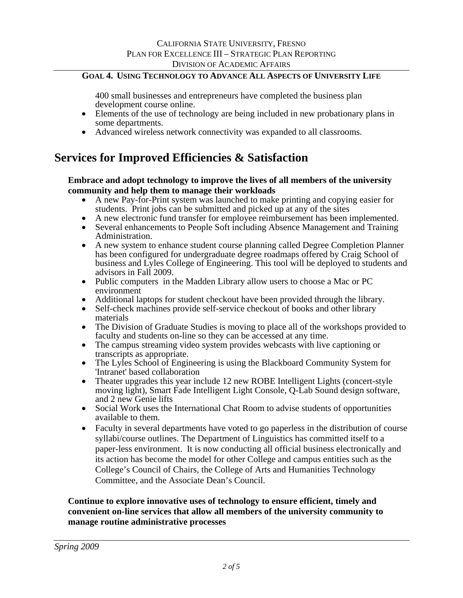400 small businesses and entrepreneurs have completed the business plan development course online.

- Elements of the use of technology are being included in new probationary plans in some departments.
- Advanced wireless network connectivity was expanded to all classrooms.

# **Services for Improved Efficiencies & Satisfaction**

### **Embrace and adopt technology to improve the lives of all members of the university community and help them to manage their workloads**

- A new Pay-for-Print system was launched to make printing and copying easier for students. Print jobs can be submitted and picked up at any of the sites
- A new electronic fund transfer for employee reimbursement has been implemented.
- Several enhancements to People Soft including Absence Management and Training Administration.
- A new system to enhance student course planning called Degree Completion Planner has been configured for undergraduate degree roadmaps offered by Craig School of business and Lyles College of Engineering. This tool will be deployed to students and advisors in Fall 2009.
- Public computers in the Madden Library allow users to choose a Mac or PC environment
- Additional laptops for student checkout have been provided through the library.
- Self-check machines provide self-service checkout of books and other library materials
- The Division of Graduate Studies is moving to place all of the workshops provided to faculty and students on-line so they can be accessed at any time.
- The campus streaming video system provides webcasts with live captioning or transcripts as appropriate.
- The Lyles School of Engineering is using the Blackboard Community System for 'Intranet' based collaboration
- Theater upgrades this year include 12 new ROBE Intelligent Lights (concert-style moving light), Smart Fade Intelligent Light Console, Q-Lab Sound design software, and 2 new Genie lifts
- Social Work uses the International Chat Room to advise students of opportunities available to them.
- Faculty in several departments have voted to go paperless in the distribution of course syllabi/course outlines. The Department of Linguistics has committed itself to a paper-less environment. It is now conducting all official business electronically and its action has become the model for other College and campus entities such as the College's Council of Chairs, the College of Arts and Humanities Technology Committee, and the Associate Dean's Council.

### **Continue to explore innovative uses of technology to ensure efficient, timely and convenient on-line services that allow all members of the university community to manage routine administrative processes**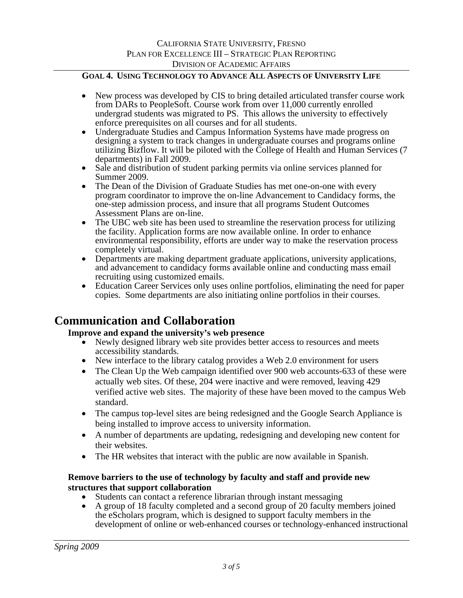- New process was developed by CIS to bring detailed articulated transfer course work from DARs to PeopleSoft. Course work from over 11,000 currently enrolled undergrad students was migrated to PS. This allows the university to effectively enforce prerequisites on all courses and for all students.
- Undergraduate Studies and Campus Information Systems have made progress on designing a system to track changes in undergraduate courses and programs online utilizing Bizflow. It will be piloted with the College of Health and Human Services (7 departments) in Fall 2009.
- Sale and distribution of student parking permits via online services planned for Summer 2009.
- The Dean of the Division of Graduate Studies has met one-on-one with every program coordinator to improve the on-line Advancement to Candidacy forms, the one-step admission process, and insure that all programs Student Outcomes Assessment Plans are on-line.
- The UBC web site has been used to streamline the reservation process for utilizing the facility. Application forms are now available online. In order to enhance environmental responsibility, efforts are under way to make the reservation process completely virtual.
- Departments are making department graduate applications, university applications, and advancement to candidacy forms available online and conducting mass email recruiting using customized emails.
- Education Career Services only uses online portfolios, eliminating the need for paper copies. Some departments are also initiating online portfolios in their courses.

# **Communication and Collaboration**

# **Improve and expand the university's web presence**

- Newly designed library web site provides better access to resources and meets
- accessibility standards. New interface to the library catalog provides a Web 2.0 environment for users
- The Clean Up the Web campaign identified over 900 web accounts-633 of these were actually web sites. Of these, 204 were inactive and were removed, leaving 429 verified active web sites. The majority of these have been moved to the campus Web standard.
- The campus top-level sites are being redesigned and the Google Search Appliance is being installed to improve access to university information.
- A number of departments are updating, redesigning and developing new content for their websites.
- The HR websites that interact with the public are now available in Spanish.

### **Remove barriers to the use of technology by faculty and staff and provide new structures that support collaboration**

- Students can contact a reference librarian through instant messaging
- A group of 18 faculty completed and a second group of 20 faculty members joined the eScholars program, which is designed to support faculty members in the development of online or web-enhanced courses or technology-enhanced instructional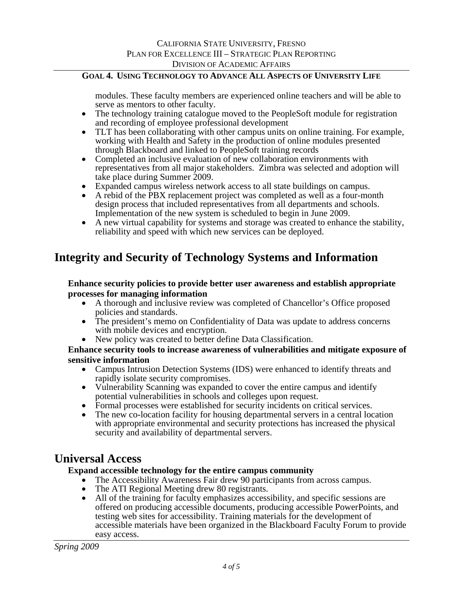modules. These faculty members are experienced online teachers and will be able to serve as mentors to other faculty.

- The technology training catalogue moved to the PeopleSoft module for registration and recording of employee professional development
- TLT has been collaborating with other campus units on online training. For example, working with Health and Safety in the production of online modules presented through Blackboard and linked to PeopleSoft training records
- Completed an inclusive evaluation of new collaboration environments with representatives from all major stakeholders. Zimbra was selected and adoption will take place during Summer 2009.
- Expanded campus wireless network access to all state buildings on campus.
- A rebid of the PBX replacement project was completed as well as a four-month design process that included representatives from all departments and schools. Implementation of the new system is scheduled to begin in June 2009.
- A new virtual capability for systems and storage was created to enhance the stability, reliability and speed with which new services can be deployed.

# **Integrity and Security of Technology Systems and Information**

### **Enhance security policies to provide better user awareness and establish appropriate processes for managing information**

- A thorough and inclusive review was completed of Chancellor's Office proposed policies and standards.
- The president's memo on Confidentiality of Data was update to address concerns with mobile devices and encryption.
- New policy was created to better define Data Classification.

### **Enhance security tools to increase awareness of vulnerabilities and mitigate exposure of sensitive information**

- Campus Intrusion Detection Systems (IDS) were enhanced to identify threats and rapidly isolate security compromises.
- Vulnerability Scanning was expanded to cover the entire campus and identify potential vulnerabilities in schools and colleges upon request.
- Formal processes were established for security incidents on critical services.
- The new co-location facility for housing departmental servers in a central location with appropriate environmental and security protections has increased the physical security and availability of departmental servers.

# **Universal Access**

### **Expand accessible technology for the entire campus community**

- The Accessibility Awareness Fair drew 90 participants from across campus.
- 
- The ATI Regional Meeting drew 80 registrants.<br>• All of the training for faculty emphasizes accessibility, and specific sessions are offered on producing accessible documents, producing accessible PowerPoints, and testing web sites for accessibility. Training materials for the development of accessible materials have been organized in the Blackboard Faculty Forum to provide easy access.